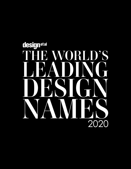# designetal D'S 2020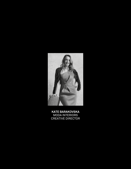

**KATE BARAKOVSKA** MODA INTERIORS CREATIVE DIRECTOR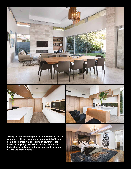



**"Design is mainly moving towards innovative materials combined with technology and sustainability. Up and coming designers will be looking at new materials based on recycling, natural materials, alternative technologies and a well balanced approach between nature and technologies."**

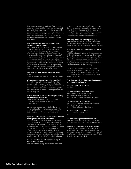Taking the guess and legwork out of any interior design or renovation, Moda Interiors have ensured their project management is structured to provide each client with ease and an enriching experience. The team, led by Creative Director, Kate Barakovska, possess a vast array of skills and endeavour to create dream homes that transcend their clients expectations.

# **Tell us a little about your background in design (education, experience, etc)**

Kate Barakovska has a passion for creating elegant, made-to-measure living and work spaces for my client's. Kate Barakovska has twenty years of experience in the Interior Design Residential Interiors, and is committed to bringing the client's imagination to life. She is well versed in interpreting modern global trends and fusing them with a client's vision, budget, and expectations, to develop a perfect interior fit out. Kate Barakovska founded Moda Interiors in 1996 with the aim of providing client's with quality service, design expertise and a trusted team to deliver the desired results.

#### **How would you describe your personal design style?**

Liveable, elegant and curious, it is a blend of styles.

# **Where does your design inspiration come from?**

My design inspiration comes mostly from the worldly people I meet, the stories they tell and the experiences they bring to the table. From travel and client's cultural differences. I am so privileged to have worked with some truly amazing people from around the globe.

#### **In what direction do you feel that design is moving towards in a general sense?**

Design is mainly moving towards innovative materials, combined with technology and sustainability.

Up and coming designers will be looking at new materials based on recycling, natural materials, alternative technologies and a well balanced approach between nature and technologies.

### **If you could offer one piece of advice when it comes to design schemes, what would it be?**

If I could offer any advice it would be to allow your designer to push you out of your comfort zone to deliver better, and different than what you could achieve yourself. When it comes to design schemes - design for living, not for trends. Capture your lifestyle that reflects your past whilst living in the present and looking forward to the future. Allow for each space and room to tell a story and invite you in a unique way - do not settle for wasted real estate.

# **How important are The International Design & Architecture Awards?**

The International Design and Architecture Awards

are super important, especially for one to spread their wings beyond the boundaries of their home cities. It gives us the opportunity to compete amongst the best in the world and to see up close and personal the international talent that we are not normally exposed to. Very inspirational.

#### **What projects are you currently working on?**

I am currently working on thirty-eight residential projects and two commercial projects. They are a combination of renovations/new homes and styling.

# **What are your aims and goals for the next twelve months?**

In 2020 and beyond I will certainly be approaching design with a reuse, reduce and recycle in mind. Space planning is a huge part of my world - I believe there will be a strong focus on residences that incorporate working environments from home and multigenerational living homes. The need to provide clever solutions for interactive living.

In the next twelve months, my plan is to focus on high end ID consulting incorporating products and service for with exclusive offerings from international brands and artisans delivering to residences globally.

# **Final thoughts; tell us a little more about yourself and your daily inspirations:**

#### **Favourite Holiday Destination?** New York.

#### **Your favourite hotel, restaurant & bar?**

Hotel - Emirates Palace, Abu Dhabi. Restaurant - Tulip In Geelong West. Bar - Sky Bar at Marina Bay Sands Singapore.

#### **Your favourite book, film & song?**

Book - Losing my Virginity by Richard Branson. Film - The Green Mile. Song - Thinking Out Loud, Ed Sheeran.

# **Your favourite food and drink?**

Food - Authentic Macedonian. Drink - Gin and Tonic.

#### **Your favourite way to spend an afternoon?**

I am constantly busy, so my favourite is to spend quiet time with my husband and children at home.

# **If you weren't a designer, what would you be?**

If I was not a designer I would definitely be a Social Worker or a Psychologist. I am all about helping people and giving. I receive a great deal of satisfaction by being able to change people's lives through my language of design.